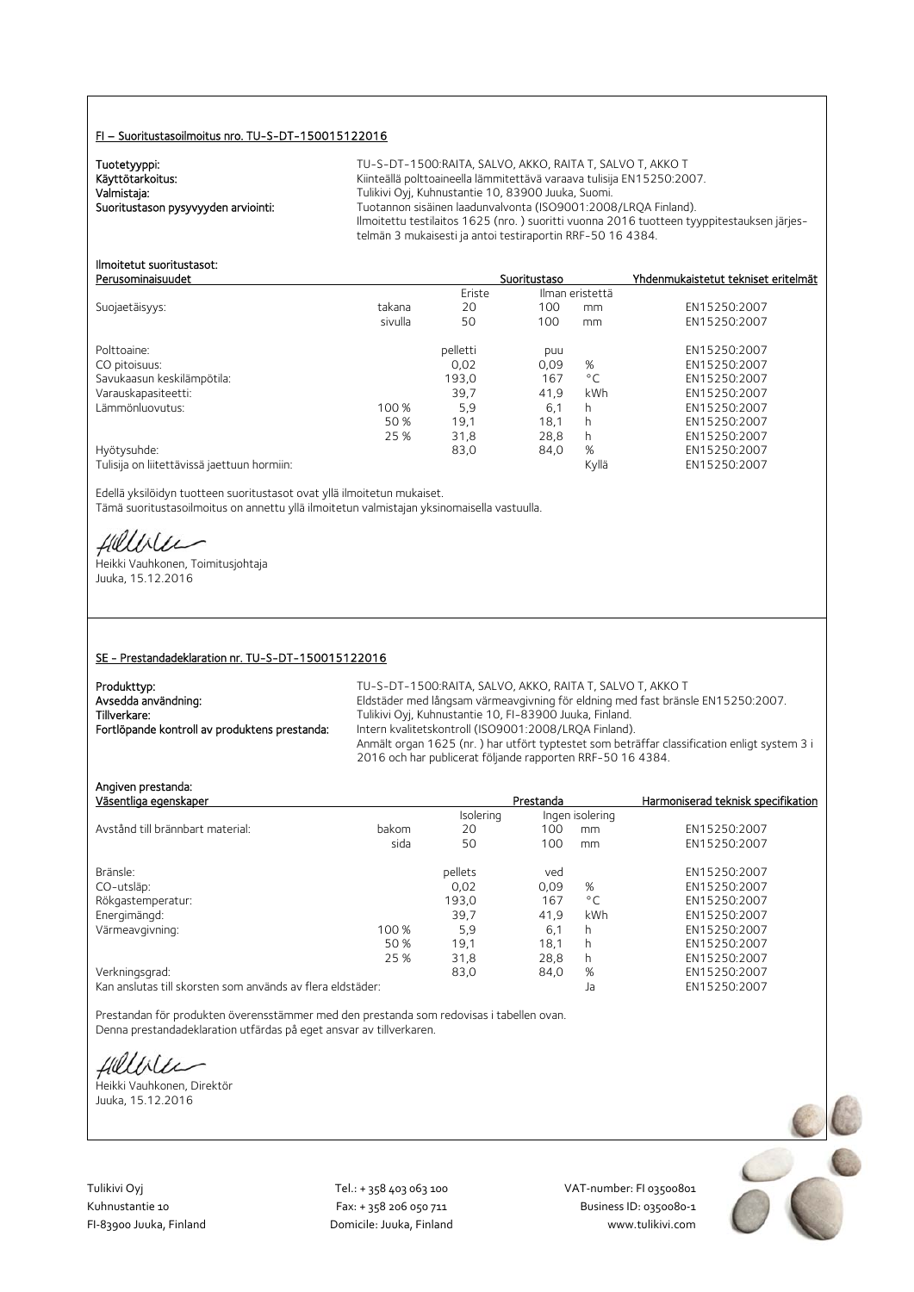#### FI – Suoritustasoilmoitus nro. TU-S-DT-150015122016

Tuotetyyppi:<br>Käyttötarkoitus:

TU-S-DT-1500:RAITA, SALVO, AKKO, RAITA T, SALVO T, AKKO T Käyttötarkoitus: Käyttötarkoitus: Kiinteällä polttoaineella lämmitettävä varaava tulisija EN15250:2007.<br>Valmistaja: Kassas Kuhaustantie 10, 83900 Juuka, Suomi. Valmistaja: Valmistaja: Tulikivi Oyj, Kuhnustantie 10, 83900 Juuka, Suomi.<br>2008–1008 Tuotannon sisäinen laadunvalvonta (ISO9001:2008) Tuotannon sisäinen laadunvalvonta (ISO9001:2008/LRQA Finland). Ilmoitettu testilaitos 1625 (nro. ) suoritti vuonna 2016 tuotteen tyyppitestauksen järjestelmän 3 mukaisesti ja antoi testiraportin RRF-50 16 4384.

#### Ilmoitetut suoritustasot: Perusominaisuudet Suoritustaso Yhdenmukaistetut tekniset eritelmät

|                                             |         | Eriste   |      | Ilman eristettä |              |
|---------------------------------------------|---------|----------|------|-----------------|--------------|
| Suojaetäisyys:                              | takana  | 20       | 100  | mm              | EN15250:2007 |
|                                             | sivulla | 50       | 100  | mm              | EN15250:2007 |
| Polttoaine:                                 |         | pelletti | puu  |                 | EN15250:2007 |
| CO pitoisuus:                               |         | 0.02     | 0,09 | %               | EN15250:2007 |
| Savukaasun keskilämpötila:                  |         | 193,0    | 167  | $^{\circ}$ C    | EN15250:2007 |
| Varauskapasiteetti:                         |         | 39.7     | 41.9 | kWh             | EN15250:2007 |
| Lämmönluovutus:                             | 100 %   | 5,9      | 6.1  | h               | EN15250:2007 |
|                                             | 50 %    | 19.1     | 18.1 | h               | EN15250:2007 |
|                                             | 25 %    | 31,8     | 28,8 | h               | EN15250:2007 |
| Hyötysuhde:                                 |         | 83,0     | 84,0 | %               | EN15250:2007 |
| Tulisija on liitettävissä jaettuun hormiin: |         |          |      | Kyllä           | EN15250:2007 |

Edellä yksilöidyn tuotteen suoritustasot ovat yllä ilmoitetun mukaiset. Tämä suoritustasoilmoitus on annettu yllä ilmoitetun valmistajan yksinomaisella vastuulla.

Hillble

Heikki Vauhkonen, Toimitusjohtaja Juuka, 15.12.2016

#### SE - Prestandadeklaration nr. TU-S-DT-150015122016

| Produkttyp:                                   | TU-S-DT-1500:RAITA, SALVO, AKKO, RAITA T, SALVO T, AKKO T                                   |
|-----------------------------------------------|---------------------------------------------------------------------------------------------|
| Avsedda användning:                           | Eldstäder med långsam värmeavgivning för eldning med fast bränsle EN15250:2007.             |
| Tillverkare:                                  | Tulikivi Oyj, Kuhnustantie 10, FI-83900 Juuka, Finland.                                     |
| Fortlöpande kontroll av produktens prestanda: | Intern kvalitetskontroll (ISO9001:2008/LRQA Finland).                                       |
|                                               | Anmält organ 1625 (nr.) har utfört typtestet som beträffar classification enligt system 3 i |
|                                               | 2016 och har publicerat följande rapporten RRF-50 16 4384.                                  |

Angiven prestanda:

| Väsentliga egenskaper                                      |       |           | Prestanda |                 | Harmoniserad teknisk specifikation |
|------------------------------------------------------------|-------|-----------|-----------|-----------------|------------------------------------|
|                                                            |       | Isolering |           | Ingen isolering |                                    |
| Avstånd till brännbart material:                           | bakom | 20        | 100       | mm              | EN15250:2007                       |
|                                                            | sida  | 50        | 100       | mm              | EN15250:2007                       |
| Bränsle:                                                   |       | pellets   | ved       |                 | EN15250:2007                       |
| CO-utsläp:                                                 |       | 0.02      | 0.09      | %               | EN15250:2007                       |
| Rökgastemperatur:                                          |       | 193.0     | 167       | $^{\circ}$ C    | EN15250:2007                       |
| Energimängd:                                               |       | 39,7      | 41,9      | kWh             | EN15250:2007                       |
| Värmeavgivning:                                            | 100 % | 5,9       | 6,1       | h               | EN15250:2007                       |
|                                                            | 50 %  | 19,1      | 18,1      | h               | EN15250:2007                       |
|                                                            | 25 %  | 31.8      | 28,8      | h               | EN15250:2007                       |
| Verkningsgrad:                                             |       | 83,0      | 84,0      | %               | EN15250:2007                       |
| Kan anslutas till skorsten som används av flera eldstäder: |       |           |           | Ja              | EN15250:2007                       |

Prestandan för produkten överensstämmer med den prestanda som redovisas i tabellen ovan. Denna prestandadeklaration utfärdas på eget ansvar av tillverkaren.

fillbile

Heikki Vauhkonen, Direktör Juuka, 15.12.2016

Tulikivi Oyj Tel.: + 358 403 063 100 VAT‐number: FI 03500801

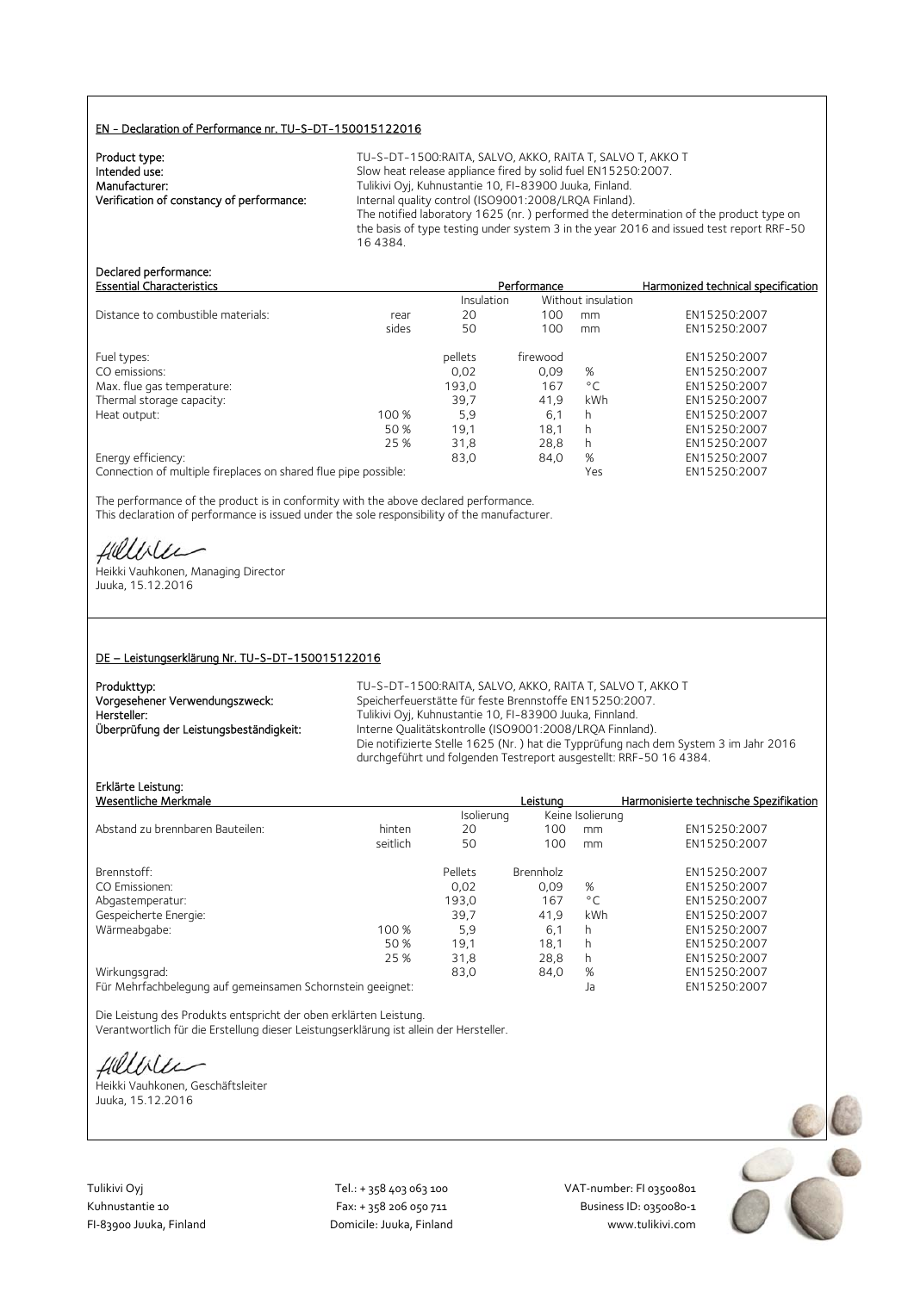#### EN - Declaration of Performance nr. TU-S-DT-150015122016

| Product type:                             |  |
|-------------------------------------------|--|
| Intended use:                             |  |
| Manufacturer:                             |  |
| Verification of constancy of performance: |  |
|                                           |  |

TU-S-DT-1500:RAITA, SALVO, AKKO, RAITA T, SALVO T, AKKO T Slow heat release appliance fired by solid fuel EN15250:2007. Tulikivi Oyj, Kuhnustantie 10, FI-83900 Juuka, Finland. Verification of constancy of performance: Internal quality control (ISO9001:2008/LRQA Finland). The notified laboratory 1625 (nr. ) performed the determination of the product type on the basis of type testing under system 3 in the year 2016 and issued test report RRF-50 16 4384.

# Declared performance:<br>Essential Characteristics

| <b>Essential Characteristics</b>   |       |                   | Performance | Harmonized technical specification |              |
|------------------------------------|-------|-------------------|-------------|------------------------------------|--------------|
|                                    |       | <b>Insulation</b> |             | Without insulation                 |              |
| Distance to combustible materials: | rear  | 20                | 100         | mm                                 | EN15250:2007 |
|                                    | sides | 50                | 100         | mm                                 | EN15250:2007 |
| Fuel types:                        |       | pellets           | firewood    |                                    | EN15250:2007 |
| CO emissions:                      |       | 0.02              | 0.09        | %                                  | EN15250:2007 |
| Max. flue gas temperature:         |       | 193,0             | 167         | $^{\circ}$ C                       | EN15250:2007 |
| Thermal storage capacity:          |       | 39.7              | 41.9        | kWh                                | EN15250:2007 |
| Heat output:                       | 100 % | 5.9               | 6.1         | h                                  | EN15250:2007 |
|                                    | 50 %  | 19,1              | 18,1        |                                    | EN15250:2007 |
|                                    | 25 %  | 31,8              | 28,8        |                                    | EN15250:2007 |
| Energy efficiency:                 |       | 83,0              | 84,0        | %                                  | EN15250:2007 |
| .                                  |       |                   |             |                                    |              |

Connection of multiple fireplaces on shared flue pipe possible: Yes EN15250:2007

The performance of the product is in conformity with the above declared performance. This declaration of performance is issued under the sole responsibility of the manufacturer.

Helliler

Heikki Vauhkonen, Managing Director Juuka, 15.12.2016

#### DE – Leistungserklärung Nr. TU-S-DT-150015122016

| Produkttyp:                             | TU-S-DT-    |
|-----------------------------------------|-------------|
| Vorgesehener Verwendungszweck:          | Speicherfe  |
| Hersteller:                             | Tulikivi Ov |
| Überprüfung der Leistungsbeständigkeit: | Interne Ou  |
|                                         | Die notifiz |

-1500:RAITA, SALVO, AKKO, RAITA T, SALVO T, AKKO T euerstätte für feste Brennstoffe EN15250:2007. vj, Kuhnustantie 10, FI-83900 Juuka, Finnland. us<br>ualitätskontrolle (ISO9001:2008/LRQA Finnland). rierte Stelle 1625 (Nr. ) hat die Typprüfung nach dem System 3 im Jahr 2016 durchgeführt und folgenden Testreport ausgestellt: RRF-50 16 4384.

## Erklärte Leistung:

| Erklarte Leistung:<br>Wesentliche Merkmale                 |          |            | Leistuna  |                  | Harmonisierte technische Spezifikation |
|------------------------------------------------------------|----------|------------|-----------|------------------|----------------------------------------|
|                                                            |          | Isolierung |           | Keine Isolierung |                                        |
| Abstand zu brennbaren Bauteilen:                           | hinten   | 20         | 100       | mm               | EN15250:2007                           |
|                                                            | seitlich | 50         | 100       | mm               | EN15250:2007                           |
| Brennstoff:                                                |          | Pellets    | Brennholz |                  | EN15250:2007                           |
| CO Emissionen:                                             |          | 0.02       | 0.09      | %                | EN15250:2007                           |
| Abgastemperatur:                                           |          | 193,0      | 167       | $^{\circ}$ C     | EN15250:2007                           |
| Gespeicherte Energie:                                      |          | 39,7       | 41.9      | kWh              | EN15250:2007                           |
| Wärmeabgabe:                                               | 100 %    | 5,9        | 6,1       | h                | EN15250:2007                           |
|                                                            | 50 %     | 19,1       | 18,1      | h                | EN15250:2007                           |
|                                                            | 25 %     | 31,8       | 28,8      | h                | EN15250:2007                           |
| Wirkungsgrad:                                              |          | 83,0       | 84,0      | %                | EN15250:2007                           |
| Für Mehrfachbelegung auf gemeinsamen Schornstein geeignet: |          |            |           | Ja               | EN15250:2007                           |

Die Leistung des Produkts entspricht der oben erklärten Leistung. Verantwortlich für die Erstellung dieser Leistungserklärung ist allein der Hersteller.

Helliler

Heikki Vauhkonen, Geschäftsleiter Juuka, 15.12.2016



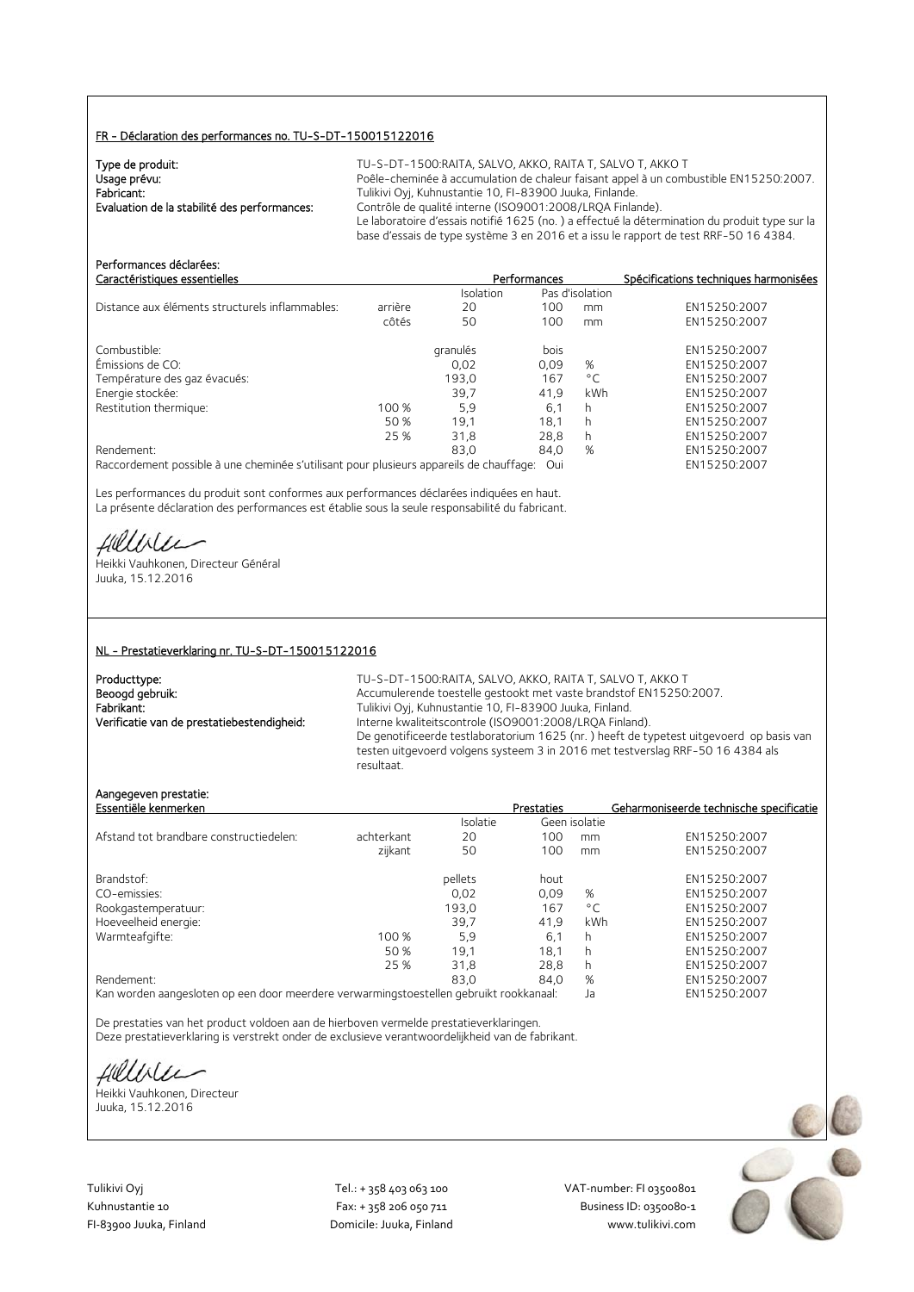#### FR - Déclaration des performances no. TU-S-DT-150015122016

| Type de produit:                             | TU-S-DT-1500:RAITA, SALVO, AKKO, RAITA T, SALVO T, AKKO T                                     |
|----------------------------------------------|-----------------------------------------------------------------------------------------------|
| Usage prévu:                                 | Poêle-cheminée à accumulation de chaleur faisant appel à un combustible EN15250:2007.         |
| Fabricant:                                   | Tulikivi Oyj, Kuhnustantie 10, FI-83900 Juuka, Finlande.                                      |
| Evaluation de la stabilité des performances: | Contrôle de qualité interne (ISO9001:2008/LROA Finlande).                                     |
|                                              | Le laboratoire d'essais notifié 1625 (no.) a effectué la détermination du produit type sur la |
|                                              | base d'essais de type système 3 en 2016 et a issu le rapport de test RRF-50 16 4384.          |

| Performances déclarées:                                                                 |         |           |              |                 |                                       |
|-----------------------------------------------------------------------------------------|---------|-----------|--------------|-----------------|---------------------------------------|
| Caractéristiques essentielles                                                           |         |           | Performances |                 | Spécifications techniques harmonisées |
|                                                                                         |         | Isolation |              | Pas d'isolation |                                       |
| Distance aux éléments structurels inflammables:                                         | arrière | 20        | 100          | mm              | EN15250:2007                          |
|                                                                                         | côtés   | 50        | 100          | mm              | EN15250:2007                          |
| Combustible:                                                                            |         | granulés  | bois         |                 | EN15250:2007                          |
| Émissions de CO:                                                                        |         | 0,02      | 0,09         | %               | EN15250:2007                          |
| Température des gaz évacués:                                                            |         | 193.0     | 167          | $^{\circ}$ C    | EN15250:2007                          |
| Energie stockée:                                                                        |         | 39,7      | 41,9         | kWh             | EN15250:2007                          |
| Restitution thermique:                                                                  | 100 %   | 5.9       | 6,1          | h               | EN15250:2007                          |
|                                                                                         | 50 %    | 19,1      | 18.1         | h               | EN15250:2007                          |
|                                                                                         | 25 %    | 31.8      | 28.8         | h.              | EN15250:2007                          |
| Rendement:                                                                              |         | 83.0      | 84,0         | %               | EN15250:2007                          |
| Raccordement possible à une cheminée s'utilisant pour plusieurs appareils de chauffage: |         |           | Oui          |                 | EN15250:2007                          |

Les performances du produit sont conformes aux performances déclarées indiquées en haut. La présente déclaration des performances est établie sous la seule responsabilité du fabricant.

Hillble

Heikki Vauhkonen, Directeur Général Juuka, 15.12.2016

#### NL - Prestatieverklaring nr. TU-S-DT-150015122016

| Producttype:                               |
|--------------------------------------------|
| Beoogd gebruik:                            |
| Fabrikant:                                 |
| Verificatie van de prestatiebestendigheid: |

TU-S-DT-1500:RAITA, SALVO, AKKO, RAITA T, SALVO T, AKKO T Accumulerende toestelle gestookt met vaste brandstof EN15250:2007. Fabrikant: Tulikivi Oyj, Kuhnustantie 10, FI-83900 Juuka, Finland. Interne kwaliteitscontrole (ISO9001:2008/LRQA Finland). De genotificeerde testlaboratorium 1625 (nr. ) heeft de typetest uitgevoerd op basis van testen uitgevoerd volgens systeem 3 in 2016 met testverslag RRF-50 16 4384 als resultaat.

#### Aangegeven prestatie:

| Essentiële kenmerken                    |            |                 | <b>Prestaties</b> |               | Geharmoniseerde technische specificatie |
|-----------------------------------------|------------|-----------------|-------------------|---------------|-----------------------------------------|
|                                         |            | <b>Isolatie</b> |                   | Geen isolatie |                                         |
| Afstand tot brandbare constructiedelen: | achterkant | 20              | 100               | mm            | EN15250:2007                            |
|                                         | zijkant    | 50              | 100               | mm            | EN15250:2007                            |
| Brandstof:                              |            | pellets         | hout              |               | EN15250:2007                            |
| CO-emissies:                            |            | 0.02            | 0.09              | %             | EN15250:2007                            |
| Rookgastemperatuur:                     |            | 193,0           | 167               | $^{\circ}$ C  | EN15250:2007                            |
| Hoeveelheid energie:                    |            | 39.7            | 41.9              | kWh           | EN15250:2007                            |
| Warmteafgifte:                          | 100 %      | 5.9             | 6,1               | h             | EN15250:2007                            |
|                                         | 50 %       | 19.1            | 18.1              | h             | EN15250:2007                            |
|                                         | 25 %       | 31,8            | 28.8              | h             | EN15250:2007                            |
| Rendement:                              |            | 83.0            | 84.0              | %             | EN15250:2007                            |
|                                         |            |                 |                   |               |                                         |

Kan worden aangesloten op een door meerdere verwarmingstoestellen gebruikt rookkanaal: Ja EN15250:2007

De prestaties van het product voldoen aan de hierboven vermelde prestatieverklaringen. Deze prestatieverklaring is verstrekt onder de exclusieve verantwoordelijkheid van de fabrikant.

Hillble

Heikki Vauhkonen, Directeur Juuka, 15.12.2016

Tulikivi Oyj Tel.: + 358 403 063 100 VAT‐number: FI 03500801

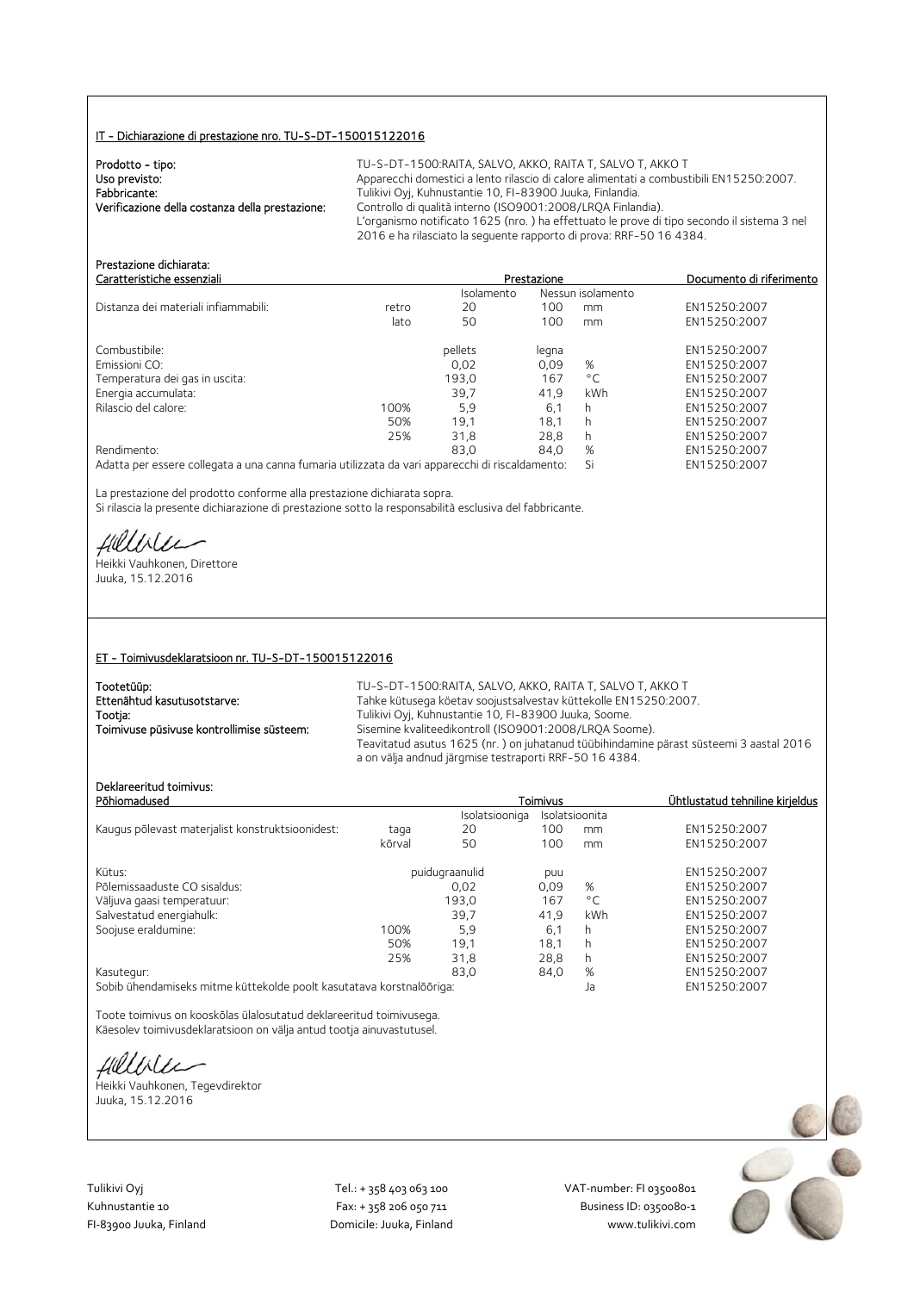#### IT - Dichiarazione di prestazione nro. TU-S-DT-150015122016

| Prodotto - tipo:                                | TU-S-DT-1500:RAITA. SALVO. AKKO. RAITA T. SALVO T. AKKO T                                  |
|-------------------------------------------------|--------------------------------------------------------------------------------------------|
| Uso previsto:                                   | Apparecchi domestici a lento rilascio di calore alimentati a combustibili EN15250:2007.    |
| Fabbricante:                                    | Tulikivi Oyj, Kuhnustantie 10, FI-83900 Juuka, Finlandia.                                  |
| Verificazione della costanza della prestazione: | Controllo di qualità interno (ISO9001:2008/LRQA Finlandia).                                |
|                                                 | L'organismo notificato 1625 (nro.) ha effettuato le prove di tipo secondo il sistema 3 nel |
|                                                 | 2016 e ha rilasciato la seguente rapporto di prova: RRF-50 16 4384.                        |

| <u>FICSLOZIVIIC UILIIIOI OLO.</u><br>Caratteristiche essenziali                                 |       | Prestazione | Documento di riferimento |              |              |  |
|-------------------------------------------------------------------------------------------------|-------|-------------|--------------------------|--------------|--------------|--|
|                                                                                                 |       | Isolamento  | Nessun isolamento        |              |              |  |
| Distanza dei materiali infiammabili:                                                            | retro | 20          | 100                      | mm           | EN15250:2007 |  |
|                                                                                                 | lato  | 50          | 100                      | mm           | EN15250:2007 |  |
| Combustibile:                                                                                   |       | pellets     | legna                    |              | EN15250:2007 |  |
| Emissioni CO:                                                                                   |       | 0.02        | 0.09                     | %            | EN15250:2007 |  |
| Temperatura dei gas in uscita:                                                                  |       | 193,0       | 167                      | $^{\circ}$ C | EN15250:2007 |  |
| Energia accumulata:                                                                             |       | 39.7        | 41.9                     | <b>kWh</b>   | EN15250:2007 |  |
| Rilascio del calore:                                                                            | 100%  | 5,9         | 6.1                      | h            | EN15250:2007 |  |
|                                                                                                 | 50%   | 19.1        | 18.1                     | h            | EN15250:2007 |  |
|                                                                                                 | 25%   | 31,8        | 28.8                     | h.           | EN15250:2007 |  |
| Rendimento:                                                                                     |       | 83.0        | 84.0                     | %            | EN15250:2007 |  |
| Adatta per essere collegata a una canna fumaria utilizzata da vari apparecchi di riscaldamento: |       |             |                          | Si           | EN15250:2007 |  |

La prestazione del prodotto conforme alla prestazione dichiarata sopra. Si rilascia la presente dichiarazione di prestazione sotto la responsabilità esclusiva del fabbricante.

Hillble

Prestazione dichiarata:

Heikki Vauhkonen, Direttore Juuka, 15.12.2016

#### ET - Toimivusdeklaratsioon nr. TU-S-DT-150015122016

| Tootetüüp:                                | TU-S-DT-1500:RAITA, SALVO, AKKO, RAITA T, SALVO T, AKKO T                                                                                        |
|-------------------------------------------|--------------------------------------------------------------------------------------------------------------------------------------------------|
| Ettenähtud kasutusotstarve:               | Tahke kütusega köetav soojustsalvestav küttekolle EN15250:2007.                                                                                  |
| Tootja:                                   | Tulikivi Oyi, Kuhnustantie 10, FI-83900 Juuka, Soome.                                                                                            |
| Toimivuse püsivuse kontrollimise süsteem: | Sisemine kvaliteedikontroll (ISO9001:2008/LROA Soome).                                                                                           |
|                                           | Teavitatud asutus 1625 (nr.) on juhatanud tüübihindamine pärast süsteemi 3 aastal 2016<br>a on välja andnud järgmise testraporti RRF-50 16 4384. |

### Deklareeritud toimivus:

| Deklareeritud tõlmivus:<br>Põhiomadused                              |        |                | Toimivus | Ühtlustatud tehniline kirjeldus |              |
|----------------------------------------------------------------------|--------|----------------|----------|---------------------------------|--------------|
|                                                                      |        | Isolatsiooniga |          | Isolatsioonita                  |              |
| Kaugus põlevast materjalist konstruktsioonidest:                     | taga   | 20             | 100      | mm                              | EN15250:2007 |
|                                                                      | kõrval | 50             | 100      | mm                              | EN15250:2007 |
| Kütus:                                                               |        | puidugraanulid | puu      |                                 | EN15250:2007 |
| Põlemissaaduste CO sisaldus:                                         |        | 0.02           | 0,09     | %                               | EN15250:2007 |
| Väljuva gaasi temperatuur:                                           |        | 193,0          | 167      | $^{\circ}$ C                    | EN15250:2007 |
| Salvestatud energiahulk:                                             |        | 39.7           | 41.9     | kWh                             | EN15250:2007 |
| Soojuse eraldumine:                                                  | 100%   | 5,9            | 6,1      | h                               | EN15250:2007 |
|                                                                      | 50%    | 19,1           | 18.1     | h                               | EN15250:2007 |
|                                                                      | 25%    | 31.8           | 28,8     | h                               | EN15250:2007 |
| Kasutegur:                                                           |        | 83.0           | 84,0     | %                               | EN15250:2007 |
| Sobib ühendamiseks mitme küttekolde poolt kasutatava korstnalõõriga: |        |                |          | Ja                              | EN15250:2007 |

Toote toimivus on kooskõlas ülalosutatud deklareeritud toimivusega.

Käesolev toimivusdeklaratsioon on välja antud tootja ainuvastutusel.

fillbile

Heikki Vauhkonen, Tegevdirektor Juuka, 15.12.2016

Tulikivi Oyj Tel.: + 358 403 063 100 VAT‐number: FI 03500801

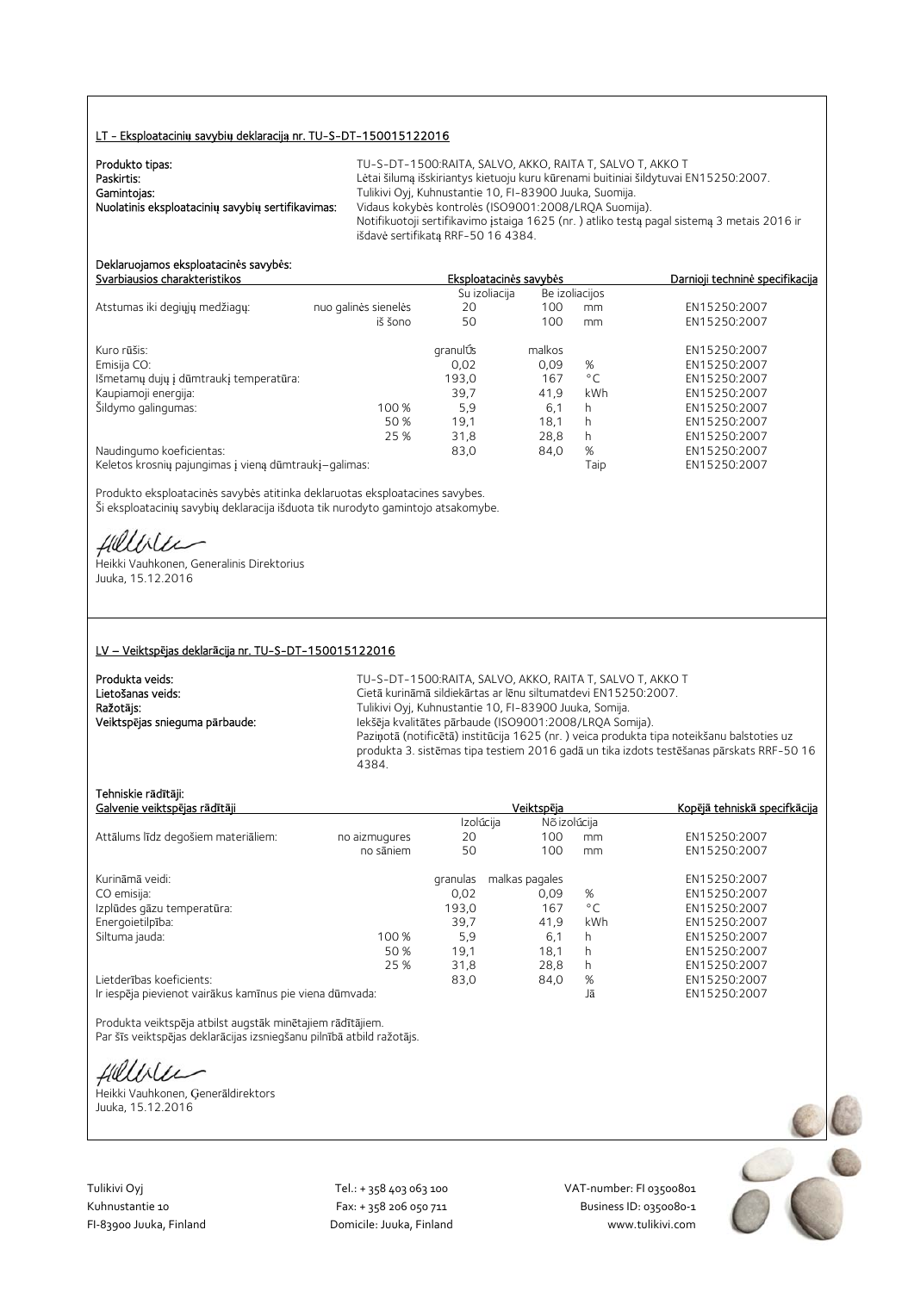#### LT - Eksploatacini**ų** savybi**ų** deklaracij**ą** nr. TU-S-DT-150015122016

| Produkto tipas:                                   | TU-S-DT-1500:RAITA. SALVO. AKKO. RAITA T. SALVO T. AKKO T                                  |
|---------------------------------------------------|--------------------------------------------------------------------------------------------|
| Paskirtis:                                        | Lėtai šilumą išskiriantys kietuoju kuru kūrenami buitiniai šildytuvai EN15250:2007.        |
| Gamintojas:                                       | Tulikivi Oyj, Kuhnustantie 10, FI-83900 Juuka, Suomija.                                    |
| Nuolatinis eksploatacinių savybių sertifikavimas: | Vidaus kokybės kontrolės (ISO9001:2008/LROA Suomija).                                      |
|                                                   | Notifikuotoji sertifikavimo įstaiga 1625 (nr.) atliko testą pagal sistemą 3 metais 2016 ir |
|                                                   | išdavė sertifikata RRF-50 16 4384.                                                         |

#### Deklaruojamos eksploatacin**ė**s savyb**ė**s: Svarbiausios charakteristikos Eksploatacin**ė**s savyb**ė**s Darnioji technin**ė** specifikacija

|                                                       |                      | Su izoliacija |        | Be izoliacijos |              |
|-------------------------------------------------------|----------------------|---------------|--------|----------------|--------------|
| Atstumas iki degiųjų medžiagų:                        | nuo galinės sienelės | 20            | 100    | mm             | EN15250:2007 |
|                                                       | iš šono              | 50            | 100    | mm             | EN15250:2007 |
| Kuro rūšis:                                           |                      | granulÚs      | malkos |                | EN15250:2007 |
| Emisija CO:                                           |                      | 0,02          | 0,09   | %              | EN15250:2007 |
| Išmetamų dujų į dūmtraukį temperatūra:                |                      | 193,0         | 167    | $^{\circ}$ C   | EN15250:2007 |
| Kaupiamoji energija:                                  |                      | 39,7          | 41,9   | kWh            | EN15250:2007 |
| Šildymo galingumas:                                   | 100 %                | 5,9           | 6,1    | h              | EN15250:2007 |
|                                                       | 50 %                 | 19.1          | 18.1   | h              | EN15250:2007 |
|                                                       | 25 %                 | 31,8          | 28,8   | h              | EN15250:2007 |
| Naudingumo koeficientas:                              |                      | 83,0          | 84,0   | %              | EN15250:2007 |
| Keletos krosnių pajungimas į vieną dūmtraukį–galimas: |                      |               |        | Taip           | EN15250:2007 |

Produkto eksploatacinės savybės atitinka deklaruotas eksploatacines savybes. Ši eksploatacinių savybių deklaracija išduota tik nurodyto gamintojo atsakomybe.

fielliter

Heikki Vauhkonen, Generalinis Direktorius Juuka, 15.12.2016

#### LV – Veiktsp**ē**jas deklar**ā**cija nr. TU-S-DT-150015122016

| Produkta veids:                |  |
|--------------------------------|--|
| Lietošanas veids:              |  |
| Ražotājs:                      |  |
| Veiktspējas snieguma pārbaude: |  |

TU-S-DT-1500:RAITA, SALVO, AKKO, RAITA T, SALVO T, AKKO T Cietā kurināmā sildiekārtas ar lēnu siltumatdevi EN15250:2007. Tulikivi Oyj, Kuhnustantie 10, FI-83900 Juuka, Somija. Iekšēja kvalitātes pārbaude (ISO9001:2008/LRQA Somija). Paziņotā (notificētā) institūcija 1625 (nr. ) veica produkta tipa noteikšanu balstoties uz produkta 3. sistēmas tipa testiem 2016 gadā un tika izdots testēšanas pārskats RRF-50 16 4384.

#### Tehniskie r**ā**d**ī**t**ā**ji:

| Galvenie veiktspējas rādītāji                            |               |           | Veiktspēja     | Kopējā tehniskā specifkācija |              |
|----------------------------------------------------------|---------------|-----------|----------------|------------------------------|--------------|
|                                                          |               | Izolúcija | Nõ izolúcija   |                              |              |
| Attālums līdz degošiem materiāliem:                      | no aizmugures | 20        | 100            | mm                           | EN15250:2007 |
|                                                          | no sāniem     | 50        | 100            | mm                           | EN15250:2007 |
| Kurināmā veidi:                                          |               | granulas  | malkas pagales |                              | EN15250:2007 |
| CO emisija:                                              |               | 0.02      | 0.09           | %                            | EN15250:2007 |
| Izplūdes gāzu temperatūra:                               |               | 193,0     | 167            | $^{\circ}$ C                 | EN15250:2007 |
| Energoietilpība:                                         |               | 39,7      | 41,9           | kWh                          | EN15250:2007 |
| Siltuma jauda:                                           | 100 %         | 5.9       | 6,1            | h                            | EN15250:2007 |
|                                                          | 50 %          | 19.1      | 18.1           | h                            | EN15250:2007 |
|                                                          | 25 %          | 31,8      | 28.8           | h.                           | EN15250:2007 |
| Lietderības koeficients:                                 |               | 83,0      | 84,0           | %                            | EN15250:2007 |
| Ir iespēja pievienot vairākus kamīnus pie viena dūmvada: |               |           |                | Jā                           | EN15250:2007 |

Produkta veiktspēja atbilst augstāk minētajiem rādītājiem. Par šīs veiktspējas deklarācijas izsniegšanu pilnībā atbild ražotājs.

Hillble

Heikki Vauhkonen, Ģenerāldirektors Juuka, 15.12.2016

Tulikivi Oyj Tel.: + 358 403 063 100 VAT‐number: FI 03500801

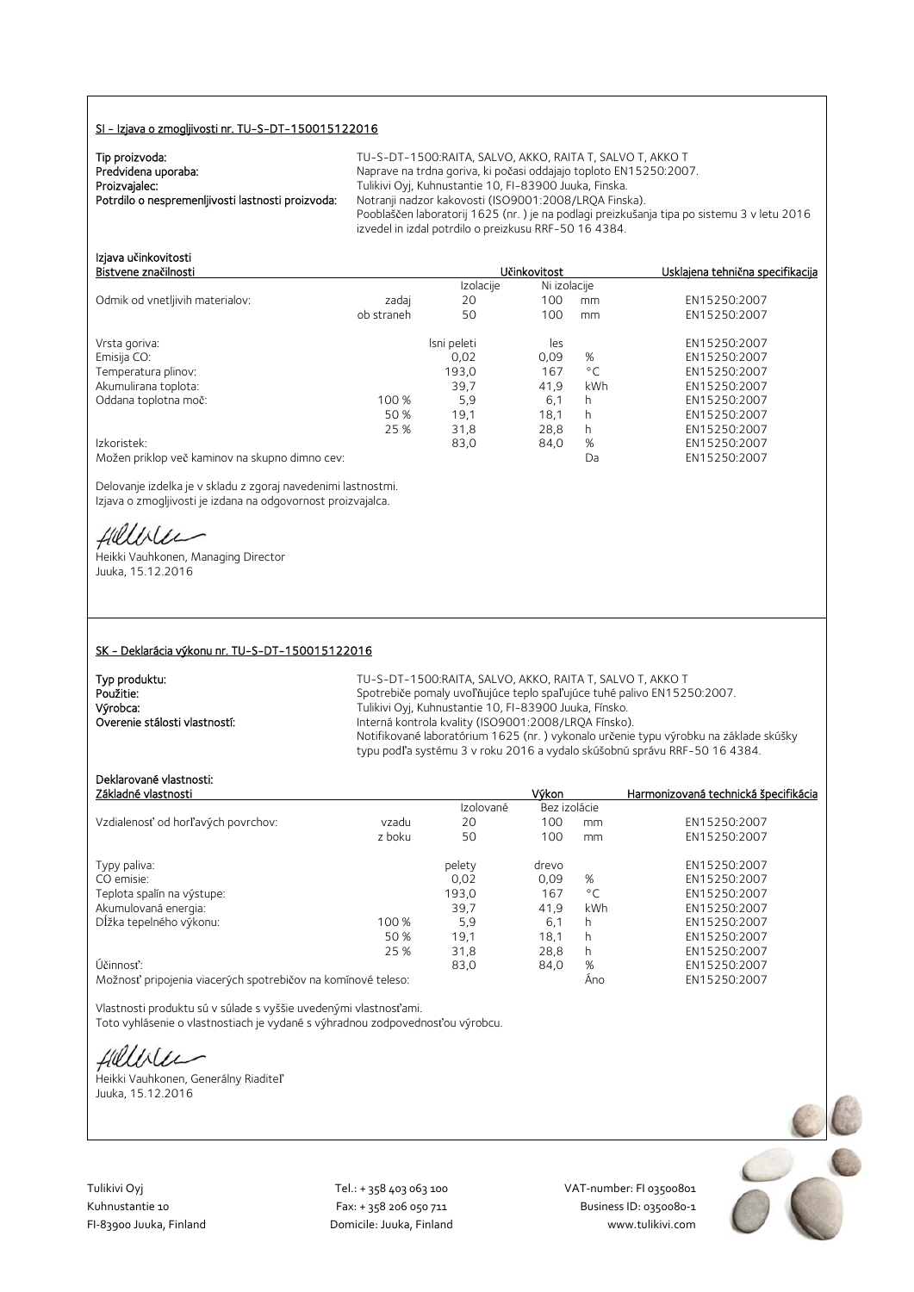#### SI - Izjava o zmogljivosti nr. TU-S-DT-150015122016

| Tip proizvoda:                                    |  |
|---------------------------------------------------|--|
| Predvidena uporaba:                               |  |
| Proizvajalec:                                     |  |
| Potrdilo o nespremenljivosti lastnosti proizvoda: |  |

TU-S-DT-1500:RAITA, SALVO, AKKO, RAITA T, SALVO T, AKKO T Naprave na trdna goriva, ki počasi oddajajo toploto EN15250:2007. Tulikivi Oyj, Kuhnustantie 10, FI-83900 Juuka, Finska. Notranii nadzor kakovosti (ISO9001:2008/LROA Finska). Pooblaščen laboratorij 1625 (nr. ) je na podlagi preizkušanja tipa po sistemu 3 v letu 2016 izvedel in izdal potrdilo o preizkusu RRF-50 16 4384.

| Izjava učinkovitosti<br>Bistvene značilnosti |            |           | <b>Učinkovitost</b> | Usklajena tehnična specifikacija |
|----------------------------------------------|------------|-----------|---------------------|----------------------------------|
|                                              |            | Izolacije | Ni izolacije        |                                  |
| Odmik od vnetljivih materialov:              | zadaj      | 20        | 100<br>mm           | EN15250:2007                     |
|                                              | ob straneh | 50        | 100.<br>mm          | EN15250:2007                     |

| Vrsta goriva:                                  |       | Isni peleti | les  |              | EN15250:2007 |
|------------------------------------------------|-------|-------------|------|--------------|--------------|
| Emisija CO:                                    |       | 0.02        | 0.09 | %            | EN15250:2007 |
| Temperatura plinov:                            |       | 193,0       | 167  | $^{\circ}$ C | EN15250:2007 |
| Akumulirana toplota:                           |       | 39,7        | 41.9 | kWh          | EN15250:2007 |
| Oddana toplotna moč:                           | 100 % | 5,9         | 6,1  |              | EN15250:2007 |
|                                                | 50 %  | 19.1        | 18.1 |              | EN15250:2007 |
|                                                | 25 %  | 31,8        | 28.8 | h            | EN15250:2007 |
| Izkoristek:                                    |       | 83,0        | 84,0 | %            | EN15250:2007 |
| Možen priklop več kaminov na skupno dimno cev: |       |             |      | Da           | EN15250:2007 |

Delovanje izdelka je v skladu z zgoraj navedenimi lastnostmi. Izjava o zmogljivosti je izdana na odgovornost proizvajalca.

Hillbler

Heikki Vauhkonen, Managing Director Juuka, 15.12.2016

#### SK - Deklarácia výkonu nr. TU-S-DT-150015122016

| Typ produktu:                 |  |
|-------------------------------|--|
| Použitie:                     |  |
| Výrobca:                      |  |
| Overenie stálosti vlastností: |  |

TU-S-DT-1500:RAITA, SALVO, AKKO, RAITA T, SALVO T, AKKO T Spotrebiče pomaly uvoľňujúce teplo spaľujúce tuhé palivo EN15250:2007. Tulikivi Oyj, Kuhnustantie 10, FI-83900 Juuka, Fínsko. Interná kontrola kvality (ISO9001:2008/LRQA Fínsko). Notifikované laboratórium 1625 (nr. ) vykonalo určenie typu výrobku na základe skúšky typu podľa systému 3 v roku 2016 a vydalo skúšobnú správu RRF-50 16 4384.

## Deklarované vlastnosti:

| Základné vlastnosti                |        |           | Výkon        |              | Harmonizovaná technická špecifikácia |
|------------------------------------|--------|-----------|--------------|--------------|--------------------------------------|
|                                    |        | Izolované | Bez izolácie |              |                                      |
| Vzdialenosť od horľavých povrchov: | vzadu  | 20        | 100          | mm           | EN15250:2007                         |
|                                    | z boku | 50        | 100          | mm           | EN15250:2007                         |
| Typy paliva:                       |        | pelety    | drevo        |              | EN15250:2007                         |
| CO emisie:                         |        | 0.02      | 0.09         | %            | EN15250:2007                         |
| Teplota spalín na výstupe:         |        | 193,0     | 167          | $^{\circ}$ C | EN15250:2007                         |
| Akumulovaná energia:               |        | 39,7      | 41,9         | kWh          | EN15250:2007                         |
| Dĺžka tepelného výkonu:            | 100 %  | 5.9       | 6,1          | h            | EN15250:2007                         |
|                                    | 50 %   | 19.1      | 18,1         | h            | EN15250:2007                         |
|                                    | 25 %   | 31.8      | 28.8         | h            | EN15250:2007                         |
| Účinnosť:                          |        | 83,0      | 84,0         | %            | EN15250:2007                         |
|                                    |        |           |              |              | $T$ MACOCOOOT                        |

Možnosť pripojenia viacerých spotrebičov na komínové teleso: Áno EN15250:2007

Vlastnosti produktu sú v súlade s vyššie uvedenými vlastnosťami. Toto vyhlásenie o vlastnostiach je vydané s výhradnou zodpovednosťou výrobcu.

fillise

Heikki Vauhkonen, Generálny Riaditeľ Juuka, 15.12.2016